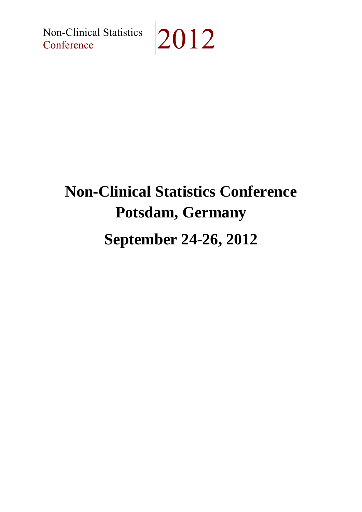Non-Clinical Statistics 2012

## **Non-Clinical Statistics Conference Potsdam, Germany September 24-26, 2012**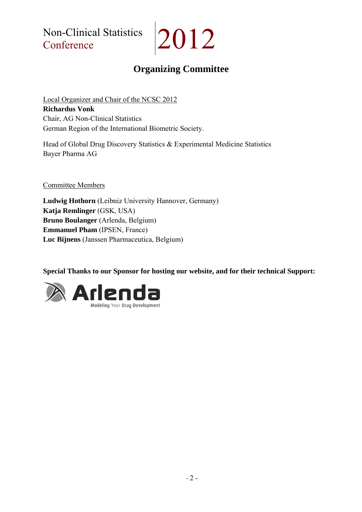Non-Clinical Statistics Non-Clinical Statistics 2012

## **Organizing Committee**

Local Organizer and Chair of the NCSC 2012 **Richardus Vonk** Chair, AG Non-Clinical Statistics German Region of the International Biometric Society.

Head of Global Drug Discovery Statistics & Experimental Medicine Statistics Bayer Pharma AG

Committee Members

**Ludwig Hothorn** (Leibniz University Hannover, Germany) **Katja Remlinger** (GSK, USA) **Bruno Boulanger** (Arlenda, Belgium) **Emmanuel Pham** (IPSEN, France) **Luc Bijnens** (Janssen Pharmaceutica, Belgium)

**Special Thanks to our Sponsor for hosting our website, and for their technical Support:**

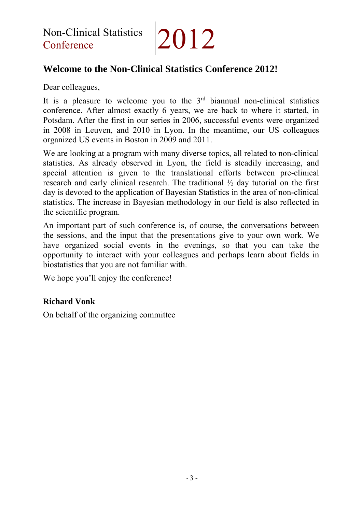## **Welcome to the Non-Clinical Statistics Conference 2012!**

Dear colleagues,

It is a pleasure to welcome you to the  $3<sup>rd</sup>$  biannual non-clinical statistics conference. After almost exactly 6 years, we are back to where it started, in Potsdam. After the first in our series in 2006, successful events were organized in 2008 in Leuven, and 2010 in Lyon. In the meantime, our US colleagues organized US events in Boston in 2009 and 2011.

We are looking at a program with many diverse topics, all related to non-clinical statistics. As already observed in Lyon, the field is steadily increasing, and special attention is given to the translational efforts between pre-clinical research and early clinical research. The traditional ½ day tutorial on the first day is devoted to the application of Bayesian Statistics in the area of non-clinical statistics. The increase in Bayesian methodology in our field is also reflected in the scientific program.

An important part of such conference is, of course, the conversations between the sessions, and the input that the presentations give to your own work. We have organized social events in the evenings, so that you can take the opportunity to interact with your colleagues and perhaps learn about fields in biostatistics that you are not familiar with.

We hope you'll enjoy the conference!

### **Richard Vonk**

On behalf of the organizing committee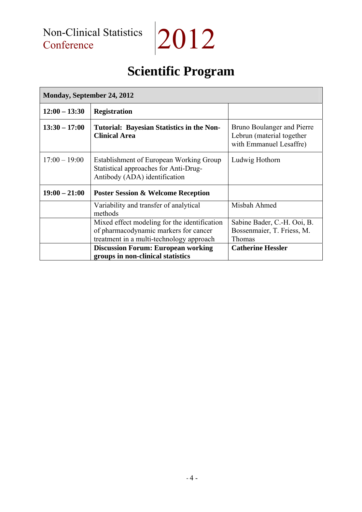$|2012$ 

## **Scientific Program**

| <b>Monday, September 24, 2012</b> |                                                                                                                                   |                                                                                           |
|-----------------------------------|-----------------------------------------------------------------------------------------------------------------------------------|-------------------------------------------------------------------------------------------|
| $12:00 - 13:30$                   | <b>Registration</b>                                                                                                               |                                                                                           |
| $13:30 - 17:00$                   | <b>Tutorial: Bayesian Statistics in the Non-</b><br><b>Clinical Area</b>                                                          | <b>Bruno Boulanger and Pierre</b><br>Lebrun (material together<br>with Emmanuel Lesaffre) |
| $17:00 - 19:00$                   | Establishment of European Working Group<br>Statistical approaches for Anti-Drug-<br>Antibody (ADA) identification                 | Ludwig Hothorn                                                                            |
| $19:00 - 21:00$                   | <b>Poster Session &amp; Welcome Reception</b>                                                                                     |                                                                                           |
|                                   | Variability and transfer of analytical<br>methods                                                                                 | Misbah Ahmed                                                                              |
|                                   | Mixed effect modeling for the identification<br>of pharmacodynamic markers for cancer<br>treatment in a multi-technology approach | Sabine Bader, C.-H. Ooi, B.<br>Bossenmaier, T. Friess, M.<br>Thomas                       |
|                                   | <b>Discussion Forum: European working</b><br>groups in non-clinical statistics                                                    | <b>Catherine Hessler</b>                                                                  |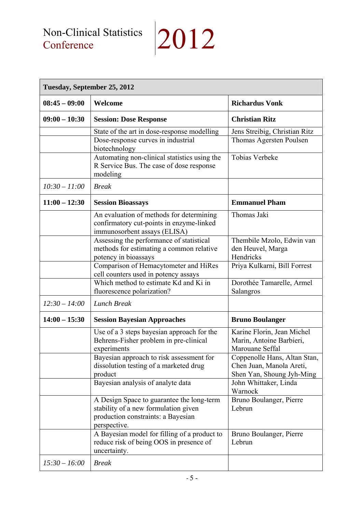| Tuesday, September 25, 2012 |                                                                                                                                         |                                                                                       |
|-----------------------------|-----------------------------------------------------------------------------------------------------------------------------------------|---------------------------------------------------------------------------------------|
| $08:45 - 09:00$             | Welcome                                                                                                                                 | <b>Richardus Vonk</b>                                                                 |
| $09:00 - 10:30$             | <b>Session: Dose Response</b>                                                                                                           | <b>Christian Ritz</b>                                                                 |
|                             | State of the art in dose-response modelling                                                                                             | Jens Streibig, Christian Ritz                                                         |
|                             | Dose-response curves in industrial<br>biotechnology                                                                                     | Thomas Agersten Poulsen                                                               |
|                             | Automating non-clinical statistics using the<br>R Service Bus. The case of dose response<br>modeling                                    | <b>Tobias Verbeke</b>                                                                 |
| $10:30 - 11:00$             | <b>Break</b>                                                                                                                            |                                                                                       |
| $11:00 - 12:30$             | <b>Session Bioassays</b>                                                                                                                | <b>Emmanuel Pham</b>                                                                  |
|                             | An evaluation of methods for determining<br>confirmatory cut-points in enzyme-linked<br>immunosorbent assays (ELISA)                    | Thomas Jaki                                                                           |
|                             | Assessing the performance of statistical<br>methods for estimating a common relative<br>potency in bioassays                            | Thembile Mzolo, Edwin van<br>den Heuvel, Marga<br>Hendricks                           |
|                             | Comparison of Hemacytometer and HiRes<br>cell counters used in potency assays                                                           | Priya Kulkarni, Bill Forrest                                                          |
|                             | Which method to estimate Kd and Ki in<br>fluorescence polarization?                                                                     | Dorothée Tamarelle, Armel<br>Salangros                                                |
| $12:30 - 14:00$             | <b>Lunch Break</b>                                                                                                                      |                                                                                       |
| $14:00 - 15:30$             | <b>Session Bayesian Approaches</b>                                                                                                      | <b>Bruno Boulanger</b>                                                                |
|                             | Use of a 3 steps bayesian approach for the<br>Behrens-Fisher problem in pre-clinical<br>experiments                                     | Karine Florin, Jean Michel<br>Marin, Antoine Barbieri,<br>Marouane Seffal             |
|                             | Bayesian approach to risk assessment for<br>dissolution testing of a marketed drug<br>product                                           | Coppenolle Hans, Altan Stan,<br>Chen Juan, Manola Areti,<br>Shen Yan, Shoung Jyh-Ming |
|                             | Bayesian analysis of analyte data                                                                                                       | John Whittaker, Linda<br>Warnock                                                      |
|                             | A Design Space to guarantee the long-term<br>stability of a new formulation given<br>production constraints: a Bayesian<br>perspective. | Bruno Boulanger, Pierre<br>Lebrun                                                     |
|                             | A Bayesian model for filling of a product to<br>reduce risk of being OOS in presence of<br>uncertainty.                                 | Bruno Boulanger, Pierre<br>Lebrun                                                     |
| $15:30 - 16:00$             | <b>Break</b>                                                                                                                            |                                                                                       |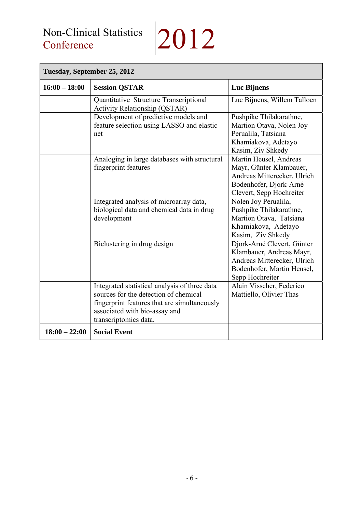## Non-Clinical Statistics<br>Conference

# $|2012$

| Tuesday, September 25, 2012 |                                                                                                                                                                                                  |                                                                                                                                        |  |
|-----------------------------|--------------------------------------------------------------------------------------------------------------------------------------------------------------------------------------------------|----------------------------------------------------------------------------------------------------------------------------------------|--|
| $16:00 - 18:00$             | <b>Session QSTAR</b>                                                                                                                                                                             | <b>Luc Bijnens</b>                                                                                                                     |  |
|                             | Quantitative Structure Transcriptional<br>Activity Relationship (QSTAR)                                                                                                                          | Luc Bijnens, Willem Talloen                                                                                                            |  |
|                             | Development of predictive models and<br>feature selection using LASSO and elastic<br>net                                                                                                         | Pushpike Thilakarathne,<br>Martion Otava, Nolen Joy<br>Perualila, Tatsiana<br>Khamiakova, Adetayo<br>Kasim, Ziv Shkedy                 |  |
|                             | Analoging in large databases with structural<br>fingerprint features                                                                                                                             | Martin Heusel, Andreas<br>Mayr, Günter Klambauer,<br>Andreas Mitterecker, Ulrich<br>Bodenhofer, Djork-Arné<br>Clevert, Sepp Hochreiter |  |
|                             | Integrated analysis of microarray data,<br>biological data and chemical data in drug<br>development                                                                                              | Nolen Joy Perualila,<br>Pushpike Thilakarathne,<br>Martion Otava, Tatsiana<br>Khamiakova, Adetayo<br>Kasim, Ziv Shkedy                 |  |
|                             | Biclustering in drug design                                                                                                                                                                      | Djork-Arné Clevert, Günter<br>Klambauer, Andreas Mayr,<br>Andreas Mitterecker, Ulrich<br>Bodenhofer, Martin Heusel,<br>Sepp Hochreiter |  |
|                             | Integrated statistical analysis of three data<br>sources for the detection of chemical<br>fingerprint features that are simultaneously<br>associated with bio-assay and<br>transcriptomics data. | Alain Visscher, Federico<br>Mattiello, Olivier Thas                                                                                    |  |
| $18:00 - 22:00$             | <b>Social Event</b>                                                                                                                                                                              |                                                                                                                                        |  |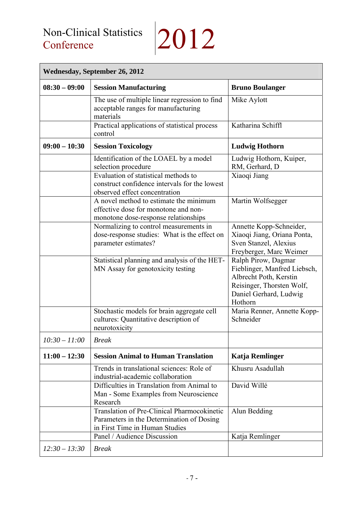# $|2012$

| <b>Wednesday, September 26, 2012</b> |                                                                                                                                   |                                                                                                                                                 |  |
|--------------------------------------|-----------------------------------------------------------------------------------------------------------------------------------|-------------------------------------------------------------------------------------------------------------------------------------------------|--|
| $08:30 - 09:00$                      | <b>Session Manufacturing</b>                                                                                                      | <b>Bruno Boulanger</b>                                                                                                                          |  |
|                                      | The use of multiple linear regression to find<br>acceptable ranges for manufacturing<br>materials                                 | Mike Aylott                                                                                                                                     |  |
|                                      | Practical applications of statistical process<br>control                                                                          | Katharina Schiffl                                                                                                                               |  |
| $09:00 - 10:30$                      | <b>Session Toxicology</b>                                                                                                         | <b>Ludwig Hothorn</b>                                                                                                                           |  |
|                                      | Identification of the LOAEL by a model<br>selection procedure                                                                     | Ludwig Hothorn, Kuiper,<br>RM, Gerhard, D                                                                                                       |  |
|                                      | Evaluation of statistical methods to<br>construct confidence intervals for the lowest<br>observed effect concentration            | Xiaoqi Jiang                                                                                                                                    |  |
|                                      | A novel method to estimate the minimum<br>effective dose for monotone and non-<br>monotone dose-response relationships            | Martin Wolfsegger                                                                                                                               |  |
|                                      | Normalizing to control measurements in<br>dose-response studies: What is the effect on<br>parameter estimates?                    | Annette Kopp-Schneider,<br>Xiaoqi Jiang, Oriana Ponta,<br>Sven Stanzel, Alexius<br>Freyberger, Marc Weimer                                      |  |
|                                      | Statistical planning and analysis of the HET-<br>MN Assay for genotoxicity testing                                                | Ralph Pirow, Dagmar<br>Fieblinger, Manfred Liebsch,<br>Albrecht Poth, Kerstin<br>Reisinger, Thorsten Wolf,<br>Daniel Gerhard, Ludwig<br>Hothorn |  |
|                                      | Stochastic models for brain aggregate cell<br>cultures: Quantitative description of<br>neurotoxicity                              | Maria Renner, Annette Kopp-<br>Schneider                                                                                                        |  |
| $10:30 - 11:00$                      | <b>Break</b>                                                                                                                      |                                                                                                                                                 |  |
| $11:00 - 12:30$                      | <b>Session Animal to Human Translation</b>                                                                                        | Katja Remlinger                                                                                                                                 |  |
|                                      | Trends in translational sciences: Role of<br>industrial-academic collaboration                                                    | Khusru Asadullah                                                                                                                                |  |
|                                      | Difficulties in Translation from Animal to<br>Man - Some Examples from Neuroscience<br>Research                                   | David Willé                                                                                                                                     |  |
|                                      | <b>Translation of Pre-Clinical Pharmocokinetic</b><br>Parameters in the Determination of Dosing<br>in First Time in Human Studies | Alun Bedding                                                                                                                                    |  |
|                                      | Panel / Audience Discussion                                                                                                       | Katja Remlinger                                                                                                                                 |  |
| $12:30 - 13:30$                      | <b>Break</b>                                                                                                                      |                                                                                                                                                 |  |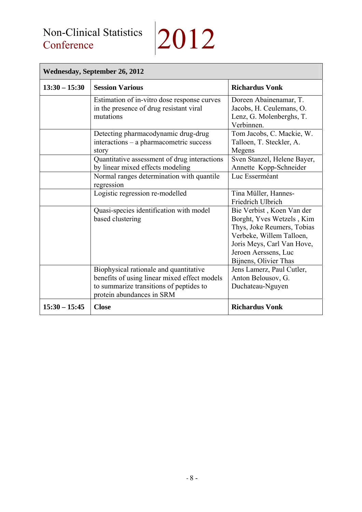| <b>Wednesday, September 26, 2012</b> |                                                                                                                                                                |                                                                                                                                                                                                 |  |
|--------------------------------------|----------------------------------------------------------------------------------------------------------------------------------------------------------------|-------------------------------------------------------------------------------------------------------------------------------------------------------------------------------------------------|--|
| $13:30 - 15:30$                      | <b>Session Various</b>                                                                                                                                         | <b>Richardus Vonk</b>                                                                                                                                                                           |  |
|                                      | Estimation of in-vitro dose response curves<br>in the presence of drug resistant viral<br>mutations                                                            | Doreen Abainenamar, T.<br>Jacobs, H. Ceulemans, O.<br>Lenz, G. Molenberghs, T.<br>Verbinnen.                                                                                                    |  |
|                                      | Detecting pharmacodynamic drug-drug<br>interactions – a pharmacometric success<br>story                                                                        | Tom Jacobs, C. Mackie, W.<br>Talloen, T. Steckler, A.<br>Megens                                                                                                                                 |  |
|                                      | Quantitative assessment of drug interactions<br>by linear mixed effects modeling                                                                               | Sven Stanzel, Helene Bayer,<br>Annette Kopp-Schneider                                                                                                                                           |  |
|                                      | Normal ranges determination with quantile<br>regression                                                                                                        | Luc Esserméant                                                                                                                                                                                  |  |
|                                      | Logistic regression re-modelled                                                                                                                                | Tina Müller, Hannes-<br>Friedrich Ulbrich                                                                                                                                                       |  |
|                                      | Quasi-species identification with model<br>based clustering                                                                                                    | Bie Verbist, Koen Van der<br>Borght, Yves Wetzels, Kim<br>Thys, Joke Reumers, Tobias<br>Verbeke, Willem Talloen,<br>Joris Meys, Carl Van Hove,<br>Jeroen Aerssens, Luc<br>Bijnens, Olivier Thas |  |
|                                      | Biophysical rationale and quantitative<br>benefits of using linear mixed effect models<br>to summarize transitions of peptides to<br>protein abundances in SRM | Jens Lamerz, Paul Cutler,<br>Anton Belousov, G.<br>Duchateau-Nguyen                                                                                                                             |  |
| $15:30 - 15:45$                      | <b>Close</b>                                                                                                                                                   | <b>Richardus Vonk</b>                                                                                                                                                                           |  |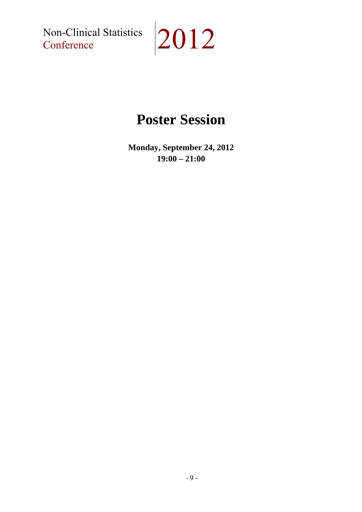Non-Clinical Statistics<br>Conference



## **Poster Session**

**Monday, September 24, 2012 19:00 – 21:00**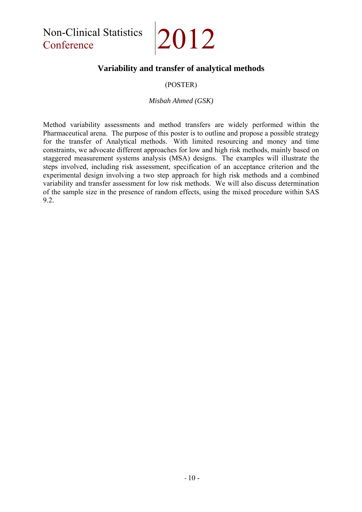Non-Clinical Statistics Non-Clinical Statistics 2012

### **Variability and transfer of analytical methods**

#### (POSTER)

#### *Misbah Ahmed (GSK)*

Method variability assessments and method transfers are widely performed within the Pharmaceutical arena. The purpose of this poster is to outline and propose a possible strategy for the transfer of Analytical methods. With limited resourcing and money and time constraints, we advocate different approaches for low and high risk methods, mainly based on staggered measurement systems analysis (MSA) designs. The examples will illustrate the steps involved, including risk assessment, specification of an acceptance criterion and the experimental design involving a two step approach for high risk methods and a combined variability and transfer assessment for low risk methods. We will also discuss determination of the sample size in the presence of random effects, using the mixed procedure within SAS 9.2.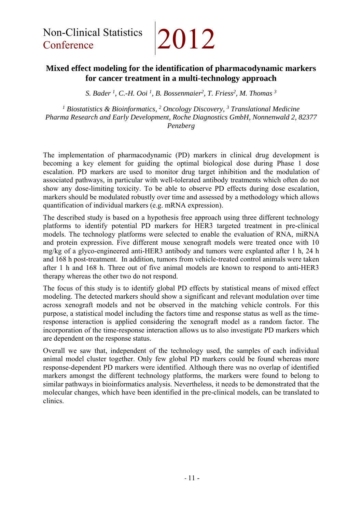Non-Clinical Statistics Non-Clinical Statistics 2012

### **Mixed effect modeling for the identification of pharmacodynamic markers for cancer treatment in a multi-technology approach**

*S. Bader <sup>1</sup>, C.-H. Ooi <sup>1</sup>, <i>B. Bossenmaier*<sup>2</sup>, *T. Friess*<sup>2</sup>, *M. Thomas*<sup>3</sup>

*1 Biostatistics & Bioinformatics, 2 Oncology Discovery, 3 Translational Medicine Pharma Research and Early Development, Roche Diagnostics GmbH, Nonnenwald 2, 82377 Penzberg* 

The implementation of pharmacodynamic (PD) markers in clinical drug development is becoming a key element for guiding the optimal biological dose during Phase 1 dose escalation. PD markers are used to monitor drug target inhibition and the modulation of associated pathways, in particular with well-tolerated antibody treatments which often do not show any dose-limiting toxicity. To be able to observe PD effects during dose escalation, markers should be modulated robustly over time and assessed by a methodology which allows quantification of individual markers (e.g. mRNA expression).

The described study is based on a hypothesis free approach using three different technology platforms to identify potential PD markers for HER3 targeted treatment in pre-clinical models. The technology platforms were selected to enable the evaluation of RNA, miRNA and protein expression. Five different mouse xenograft models were treated once with 10 mg/kg of a glyco-engineered anti-HER3 antibody and tumors were explanted after 1 h, 24 h and 168 h post-treatment. In addition, tumors from vehicle-treated control animals were taken after 1 h and 168 h. Three out of five animal models are known to respond to anti-HER3 therapy whereas the other two do not respond.

The focus of this study is to identify global PD effects by statistical means of mixed effect modeling. The detected markers should show a significant and relevant modulation over time across xenograft models and not be observed in the matching vehicle controls. For this purpose, a statistical model including the factors time and response status as well as the timeresponse interaction is applied considering the xenograft model as a random factor. The incorporation of the time-response interaction allows us to also investigate PD markers which are dependent on the response status.

Overall we saw that, independent of the technology used, the samples of each individual animal model cluster together. Only few global PD markers could be found whereas more response-dependent PD markers were identified. Although there was no overlap of identified markers amongst the different technology platforms, the markers were found to belong to similar pathways in bioinformatics analysis. Nevertheless, it needs to be demonstrated that the molecular changes, which have been identified in the pre-clinical models, can be translated to clinics.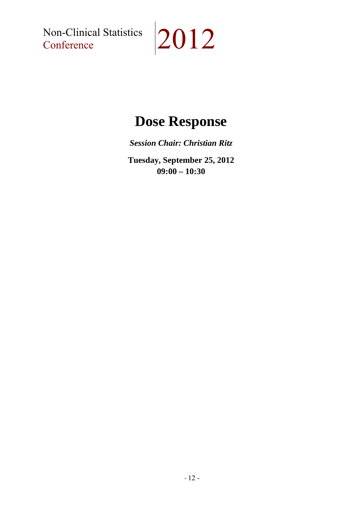Non-Clinical Statistics<br>Conference

# $|2012$

## **Dose Response**

*Session Chair: Christian Ritz* 

**Tuesday, September 25, 2012 09:00 – 10:30**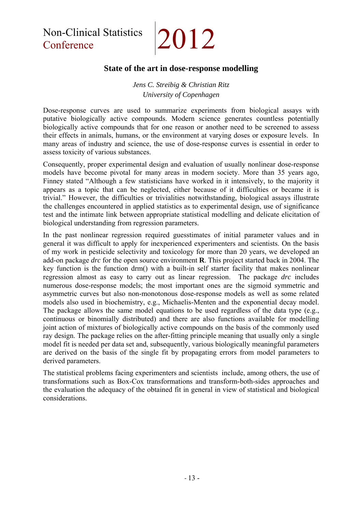Non-Clinical Statistics Non-Clinical Statistics 2012

#### **State of the art in dose-response modelling**

*Jens C. Streibig & Christian Ritz University of Copenhagen* 

Dose-response curves are used to summarize experiments from biological assays with putative biologically active compounds. Modern science generates countless potentially biologically active compounds that for one reason or another need to be screened to assess their effects in animals, humans, or the environment at varying doses or exposure levels. In many areas of industry and science, the use of dose-response curves is essential in order to assess toxicity of various substances.

Consequently, proper experimental design and evaluation of usually nonlinear dose-response models have become pivotal for many areas in modern society. More than 35 years ago, Finney stated "Although a few statisticians have worked in it intensively, to the majority it appears as a topic that can be neglected, either because of it difficulties or became it is trivial." However, the difficulties or trivialities notwithstanding, biological assays illustrate the challenges encountered in applied statistics as to experimental design, use of significance test and the intimate link between appropriate statistical modelling and delicate elicitation of biological understanding from regression parameters.

In the past nonlinear regression required guesstimates of initial parameter values and in general it was difficult to apply for inexperienced experimenters and scientists. On the basis of my work in pesticide selectivity and toxicology for more than 20 years, we developed an add-on package *drc* for the open source environment **R**. This project started back in 2004. The key function is the function drm() with a built-in self starter facility that makes nonlinear regression almost as easy to carry out as linear regression. The package *drc* includes numerous dose-response models; the most important ones are the sigmoid symmetric and asymmetric curves but also non-monotonous dose-response models as well as some related models also used in biochemistry, e.g., Michaelis-Menten and the exponential decay model. The package allows the same model equations to be used regardless of the data type (e.g., continuous or binomially distributed) and there are also functions available for modelling joint action of mixtures of biologically active compounds on the basis of the commonly used ray design. The package relies on the after-fitting principle meaning that usually only a single model fit is needed per data set and, subsequently, various biologically meaningful parameters are derived on the basis of the single fit by propagating errors from model parameters to derived parameters.

The statistical problems facing experimenters and scientists include, among others, the use of transformations such as Box-Cox transformations and transform-both-sides approaches and the evaluation the adequacy of the obtained fit in general in view of statistical and biological considerations.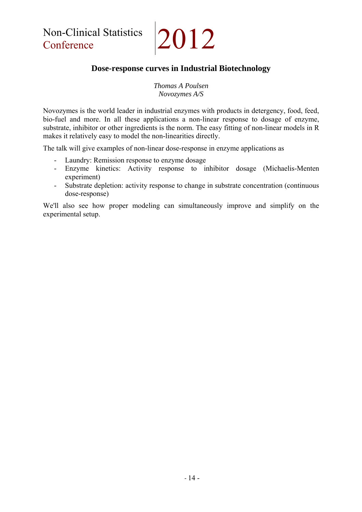Non-Clinical Statistics 2012

### **Dose-response curves in Industrial Biotechnology**

*Thomas A Poulsen Novozymes A/S* 

Novozymes is the world leader in industrial enzymes with products in detergency, food, feed, bio-fuel and more. In all these applications a non-linear response to dosage of enzyme, substrate, inhibitor or other ingredients is the norm. The easy fitting of non-linear models in R makes it relatively easy to model the non-linearities directly.

The talk will give examples of non-linear dose-response in enzyme applications as

- Laundry: Remission response to enzyme dosage
- Enzyme kinetics: Activity response to inhibitor dosage (Michaelis-Menten experiment)
- Substrate depletion: activity response to change in substrate concentration (continuous dose-response)

We'll also see how proper modeling can simultaneously improve and simplify on the experimental setup.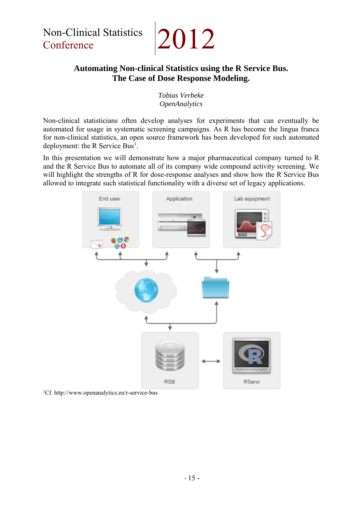## **Automating Non-clinical Statistics using the R Service Bus. The Case of Dose Response Modeling.**

#### *Tobias Verbeke OpenAnalytics*

Non-clinical statisticians often develop analyses for experiments that can eventually be automated for usage in systematic screening campaigns. As R has become the lingua franca for non-clinical statistics, an open source framework has been developed for such automated deployment: the R Service Bus<sup>1</sup>.

In this presentation we will demonstrate how a major pharmaceutical company turned to R and the R Service Bus to automate all of its company wide compound activity screening. We will highlight the strengths of R for dose-response analyses and show how the R Service Bus allowed to integrate such statistical functionality with a diverse set of legacy applications.



1 Cf. http://www.openanalytics.eu/r-service-bus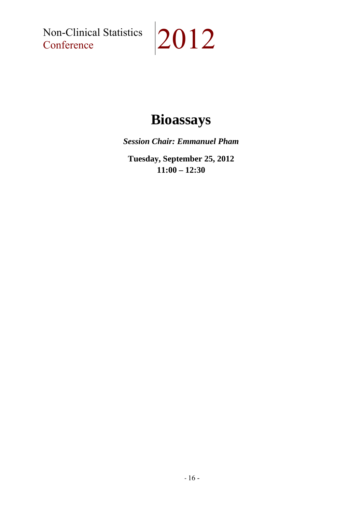Non-Clinical Statistics<br>Conference

# $|2012$

## **Bioassays**

*Session Chair: Emmanuel Pham* 

**Tuesday, September 25, 2012 11:00 – 12:30**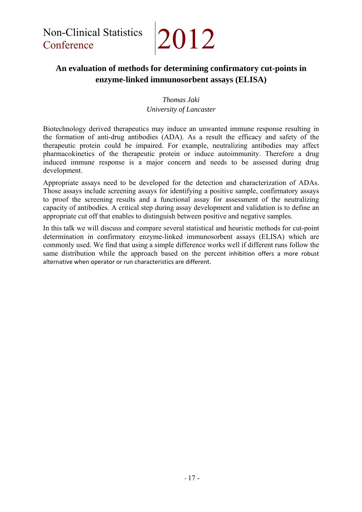## **An evaluation of methods for determining confirmatory cut-points in enzyme-linked immunosorbent assays (ELISA)**

#### *Thomas Jaki University of Lancaster*

Biotechnology derived therapeutics may induce an unwanted immune response resulting in the formation of anti-drug antibodies (ADA). As a result the efficacy and safety of the therapeutic protein could be impaired. For example, neutralizing antibodies may affect pharmacokinetics of the therapeutic protein or induce autoimmunity. Therefore a drug induced immune response is a major concern and needs to be assessed during drug development.

Appropriate assays need to be developed for the detection and characterization of ADAs. Those assays include screening assays for identifying a positive sample, confirmatory assays to proof the screening results and a functional assay for assessment of the neutralizing capacity of antibodies. A critical step during assay development and validation is to define an appropriate cut off that enables to distinguish between positive and negative samples.

In this talk we will discuss and compare several statistical and heuristic methods for cut-point determination in confirmatory enzyme-linked immunosorbent assays (ELISA) which are commonly used. We find that using a simple difference works well if different runs follow the same distribution while the approach based on the percent inhibition offers a more robust alternative when operator or run characteristics are different.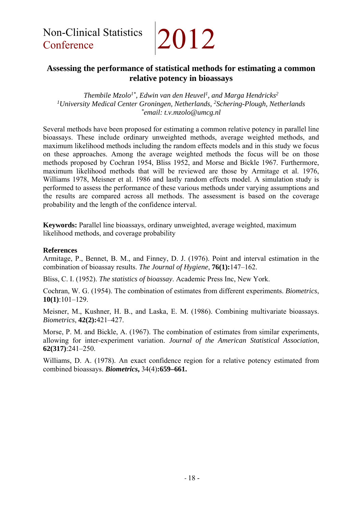### **Assessing the performance of statistical methods for estimating a common relative potency in bioassays**

*Thembile Mzolo1\*, Edwin van den Heuvel1 , and Marga Hendricks2 1 University Medical Center Groningen, Netherlands, 2Schering-Plough, Netherlands \*email: t.v.mzolo@umcg.nl* 

Several methods have been proposed for estimating a common relative potency in parallel line bioassays. These include ordinary unweighted methods, average weighted methods, and maximum likelihood methods including the random effects models and in this study we focus on these approaches. Among the average weighted methods the focus will be on those methods proposed by Cochran 1954, Bliss 1952, and Morse and Bickle 1967. Furthermore, maximum likelihood methods that will be reviewed are those by Armitage et al. 1976, Williams 1978, Meisner et al. 1986 and lastly random effects model. A simulation study is performed to assess the performance of these various methods under varying assumptions and the results are compared across all methods. The assessment is based on the coverage probability and the length of the confidence interval.

**Keywords:** Parallel line bioassays, ordinary unweighted, average weighted, maximum likelihood methods, and coverage probability

#### **References**

Armitage, P., Bennet, B. M., and Finney, D. J. (1976). Point and interval estimation in the combination of bioassay results. *The Journal of Hygiene*, **76(1):**147–162.

Bliss, C. I. (1952). *The statistics of bioassay*. Academic Press Inc, New York.

Cochran, W. G. (1954). The combination of estimates from different experiments. *Biometrics*, **10(1)**:101–129.

Meisner, M., Kushner, H. B., and Laska, E. M. (1986). Combining multivariate bioassays. *Biometrics*, **42(2):**421–427.

Morse, P. M. and Bickle, A. (1967). The combination of estimates from similar experiments, allowing for inter-experiment variation. *Journal of the American Statistical Association*, **62(317)**:241–250.

Williams, D. A. (1978). An exact confidence region for a relative potency estimated from combined bioassays. *Biometrics***,** 34(4)**:659–661.**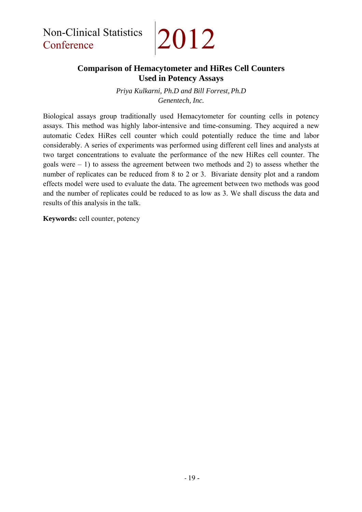### **Comparison of Hemacytometer and HiRes Cell Counters Used in Potency Assays**

*Priya Kulkarni, Ph.D and Bill Forrest, Ph.D Genentech, Inc.* 

Biological assays group traditionally used Hemacytometer for counting cells in potency assays. This method was highly labor-intensive and time-consuming. They acquired a new automatic Cedex HiRes cell counter which could potentially reduce the time and labor considerably. A series of experiments was performed using different cell lines and analysts at two target concentrations to evaluate the performance of the new HiRes cell counter. The goals were  $-1$ ) to assess the agreement between two methods and 2) to assess whether the number of replicates can be reduced from 8 to 2 or 3. Bivariate density plot and a random effects model were used to evaluate the data. The agreement between two methods was good and the number of replicates could be reduced to as low as 3. We shall discuss the data and results of this analysis in the talk.

**Keywords:** cell counter, potency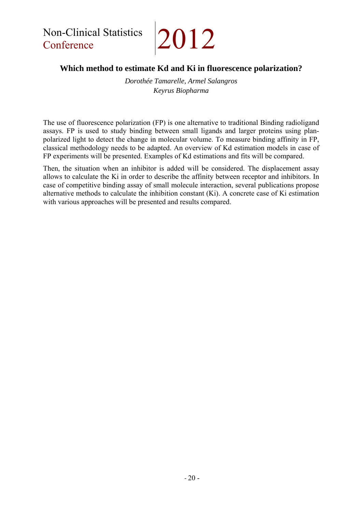## **Which method to estimate Kd and Ki in fluorescence polarization?**

*Dorothée Tamarelle, Armel Salangros Keyrus Biopharma* 

The use of fluorescence polarization (FP) is one alternative to traditional Binding radioligand assays. FP is used to study binding between small ligands and larger proteins using planpolarized light to detect the change in molecular volume. To measure binding affinity in FP, classical methodology needs to be adapted. An overview of Kd estimation models in case of FP experiments will be presented. Examples of Kd estimations and fits will be compared.

Then, the situation when an inhibitor is added will be considered. The displacement assay allows to calculate the Ki in order to describe the affinity between receptor and inhibitors. In case of competitive binding assay of small molecule interaction, several publications propose alternative methods to calculate the inhibition constant (Ki). A concrete case of Ki estimation with various approaches will be presented and results compared.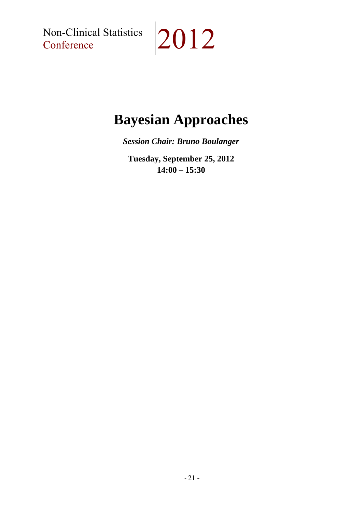Non-Clinical Statistics<br>Conference

# $|2012$

## **Bayesian Approaches**

*Session Chair: Bruno Boulanger* 

**Tuesday, September 25, 2012 14:00 – 15:30**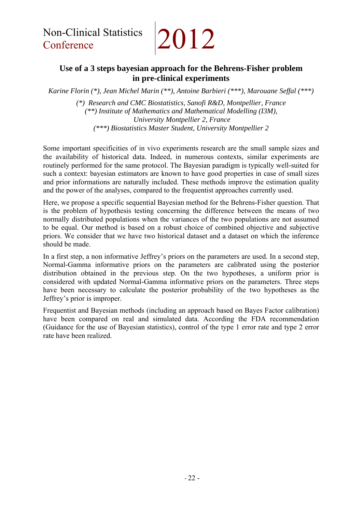## **Use of a 3 steps bayesian approach for the Behrens-Fisher problem in pre-clinical experiments**

*Karine Florin (\*), Jean Michel Marin (\*\*), Antoine Barbieri (\*\*\*), Marouane Seffal (\*\*\*)* 

*(\*) Research and CMC Biostatistics, Sanofi R&D, Montpellier, France (\*\*) Institute of Mathematics and Mathematical Modelling (I3M), University Montpellier 2, France (\*\*\*) Biostatistics Master Student, University Montpellier 2* 

Some important specificities of in vivo experiments research are the small sample sizes and the availability of historical data. Indeed, in numerous contexts, similar experiments are routinely performed for the same protocol. The Bayesian paradigm is typically well-suited for such a context: bayesian estimators are known to have good properties in case of small sizes and prior informations are naturally included. These methods improve the estimation quality and the power of the analyses, compared to the frequentist approaches currently used.

Here, we propose a specific sequential Bayesian method for the Behrens-Fisher question. That is the problem of hypothesis testing concerning the difference between the means of two normally distributed populations when the variances of the two populations are not assumed to be equal. Our method is based on a robust choice of combined objective and subjective priors. We consider that we have two historical dataset and a dataset on which the inference should be made.

In a first step, a non informative Jeffrey's priors on the parameters are used. In a second step, Normal-Gamma informative priors on the parameters are calibrated using the posterior distribution obtained in the previous step. On the two hypotheses, a uniform prior is considered with updated Normal-Gamma informative priors on the parameters. Three steps have been necessary to calculate the posterior probability of the two hypotheses as the Jeffrey's prior is improper.

Frequentist and Bayesian methods (including an approach based on Bayes Factor calibration) have been compared on real and simulated data. According the FDA recommendation (Guidance for the use of Bayesian statistics), control of the type 1 error rate and type 2 error rate have been realized.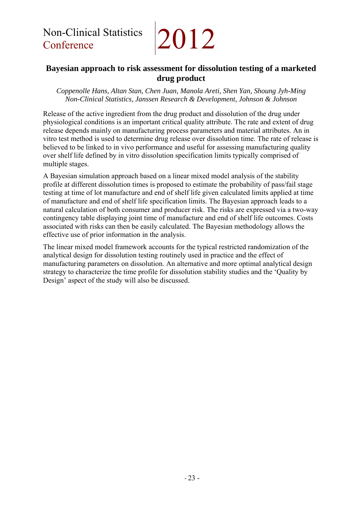## **Bayesian approach to risk assessment for dissolution testing of a marketed drug product**

*Coppenolle Hans, Altan Stan, Chen Juan, Manola Areti, Shen Yan, Shoung Jyh-Ming Non-Clinical Statistics, Janssen Research & Development, Johnson & Johnson*

Release of the active ingredient from the drug product and dissolution of the drug under physiological conditions is an important critical quality attribute. The rate and extent of drug release depends mainly on manufacturing process parameters and material attributes. An in vitro test method is used to determine drug release over dissolution time. The rate of release is believed to be linked to in vivo performance and useful for assessing manufacturing quality over shelf life defined by in vitro dissolution specification limits typically comprised of multiple stages.

A Bayesian simulation approach based on a linear mixed model analysis of the stability profile at different dissolution times is proposed to estimate the probability of pass/fail stage testing at time of lot manufacture and end of shelf life given calculated limits applied at time of manufacture and end of shelf life specification limits. The Bayesian approach leads to a natural calculation of both consumer and producer risk. The risks are expressed via a two-way contingency table displaying joint time of manufacture and end of shelf life outcomes. Costs associated with risks can then be easily calculated. The Bayesian methodology allows the effective use of prior information in the analysis.

The linear mixed model framework accounts for the typical restricted randomization of the analytical design for dissolution testing routinely used in practice and the effect of manufacturing parameters on dissolution. An alternative and more optimal analytical design strategy to characterize the time profile for dissolution stability studies and the 'Quality by Design' aspect of the study will also be discussed.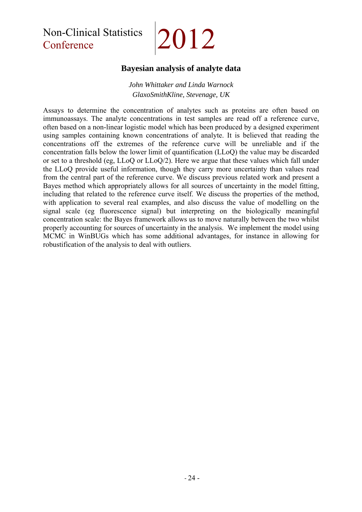## Non-Clinical Statistics Non-Clinical Statistics 2012

### **Bayesian analysis of analyte data**

*John Whittaker and Linda Warnock GlaxoSmithKline, Stevenage, UK* 

Assays to determine the concentration of analytes such as proteins are often based on immunoassays. The analyte concentrations in test samples are read off a reference curve, often based on a non-linear logistic model which has been produced by a designed experiment using samples containing known concentrations of analyte. It is believed that reading the concentrations off the extremes of the reference curve will be unreliable and if the concentration falls below the lower limit of quantification (LLoQ) the value may be discarded or set to a threshold (eg, LLoQ or LLoQ/2). Here we argue that these values which fall under the LLoQ provide useful information, though they carry more uncertainty than values read from the central part of the reference curve. We discuss previous related work and present a Bayes method which appropriately allows for all sources of uncertainty in the model fitting, including that related to the reference curve itself. We discuss the properties of the method, with application to several real examples, and also discuss the value of modelling on the signal scale (eg fluorescence signal) but interpreting on the biologically meaningful concentration scale: the Bayes framework allows us to move naturally between the two whilst properly accounting for sources of uncertainty in the analysis. We implement the model using MCMC in WinBUGs which has some additional advantages, for instance in allowing for robustification of the analysis to deal with outliers.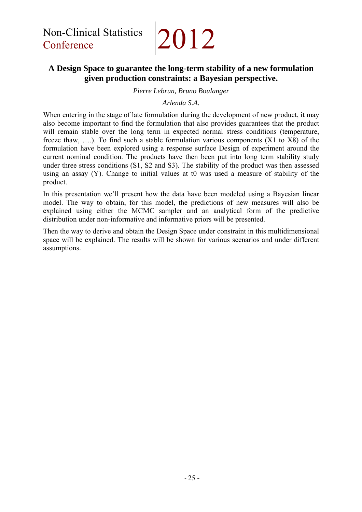## **A Design Space to guarantee the long-term stability of a new formulation given production constraints: a Bayesian perspective.**

#### *Pierre Lebrun, Bruno Boulanger*

#### *Arlenda S.A.*

When entering in the stage of late formulation during the development of new product, it may also become important to find the formulation that also provides guarantees that the product will remain stable over the long term in expected normal stress conditions (temperature, freeze thaw, ….). To find such a stable formulation various components (X1 to X8) of the formulation have been explored using a response surface Design of experiment around the current nominal condition. The products have then been put into long term stability study under three stress conditions (S1, S2 and S3). The stability of the product was then assessed using an assay (Y). Change to initial values at t0 was used a measure of stability of the product.

In this presentation we'll present how the data have been modeled using a Bayesian linear model. The way to obtain, for this model, the predictions of new measures will also be explained using either the MCMC sampler and an analytical form of the predictive distribution under non-informative and informative priors will be presented.

Then the way to derive and obtain the Design Space under constraint in this multidimensional space will be explained. The results will be shown for various scenarios and under different assumptions.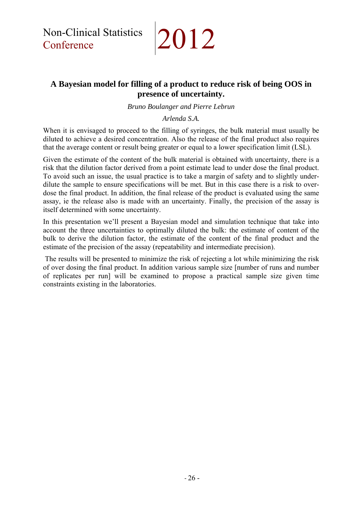Non-Clinical Statistics Non-Clinical Statistics 2012

### **A Bayesian model for filling of a product to reduce risk of being OOS in presence of uncertainty.**

*Bruno Boulanger and Pierre Lebrun* 

*Arlenda S.A.* 

When it is envisaged to proceed to the filling of syringes, the bulk material must usually be diluted to achieve a desired concentration. Also the release of the final product also requires that the average content or result being greater or equal to a lower specification limit (LSL).

Given the estimate of the content of the bulk material is obtained with uncertainty, there is a risk that the dilution factor derived from a point estimate lead to under dose the final product. To avoid such an issue, the usual practice is to take a margin of safety and to slightly underdilute the sample to ensure specifications will be met. But in this case there is a risk to overdose the final product. In addition, the final release of the product is evaluated using the same assay, ie the release also is made with an uncertainty. Finally, the precision of the assay is itself determined with some uncertainty.

In this presentation we'll present a Bayesian model and simulation technique that take into account the three uncertainties to optimally diluted the bulk: the estimate of content of the bulk to derive the dilution factor, the estimate of the content of the final product and the estimate of the precision of the assay (repeatability and intermediate precision).

 The results will be presented to minimize the risk of rejecting a lot while minimizing the risk of over dosing the final product. In addition various sample size [number of runs and number of replicates per run] will be examined to propose a practical sample size given time constraints existing in the laboratories.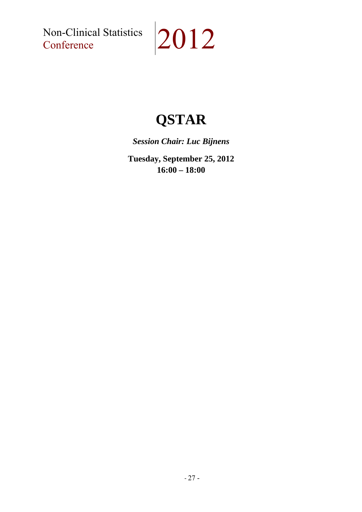Non-Clinical Statistics<br>Conference

# $|2012$

## **QSTAR**

*Session Chair: Luc Bijnens* 

**Tuesday, September 25, 2012 16:00 – 18:00**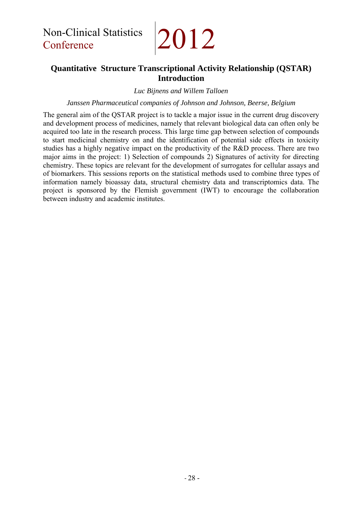## **Quantitative Structure Transcriptional Activity Relationship (QSTAR) Introduction**

*Luc Bijnens and Willem Talloen* 

*Janssen Pharmaceutical companies of Johnson and Johnson, Beerse, Belgium* 

The general aim of the QSTAR project is to tackle a major issue in the current drug discovery and development process of medicines, namely that relevant biological data can often only be acquired too late in the research process. This large time gap between selection of compounds to start medicinal chemistry on and the identification of potential side effects in toxicity studies has a highly negative impact on the productivity of the R&D process. There are two major aims in the project: 1) Selection of compounds 2) Signatures of activity for directing chemistry. These topics are relevant for the development of surrogates for cellular assays and of biomarkers. This sessions reports on the statistical methods used to combine three types of information namely bioassay data, structural chemistry data and transcriptomics data. The project is sponsored by the Flemish government (IWT) to encourage the collaboration between industry and academic institutes.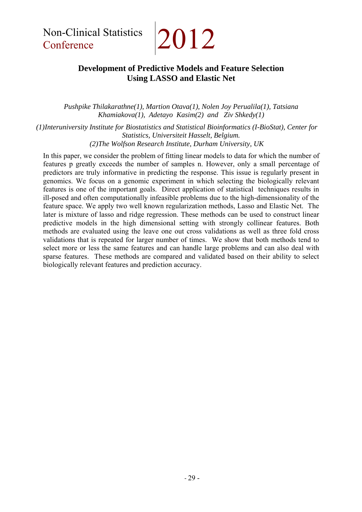## **Development of Predictive Models and Feature Selection Using LASSO and Elastic Net**

*Pushpike Thilakarathne(1), Martion Otava(1), Nolen Joy Perualila(1), Tatsiana Khamiakova(1), Adetayo Kasim(2) and Ziv Shkedy(1)* 

*(1)Interuniversity Institute for Biostatistics and Statistical Bioinformatics (I-BioStat), Center for Statistics, Universiteit Hasselt, Belgium. (2)The Wolfson Research Institute, Durham University, UK* 

In this paper, we consider the problem of fitting linear models to data for which the number of features p greatly exceeds the number of samples n. However, only a small percentage of predictors are truly informative in predicting the response. This issue is regularly present in genomics. We focus on a genomic experiment in which selecting the biologically relevant features is one of the important goals. Direct application of statistical techniques results in ill-posed and often computationally infeasible problems due to the high-dimensionality of the feature space. We apply two well known regularization methods, Lasso and Elastic Net. The later is mixture of lasso and ridge regression. These methods can be used to construct linear predictive models in the high dimensional setting with strongly collinear features. Both methods are evaluated using the leave one out cross validations as well as three fold cross validations that is repeated for larger number of times. We show that both methods tend to select more or less the same features and can handle large problems and can also deal with sparse features. These methods are compared and validated based on their ability to select biologically relevant features and prediction accuracy.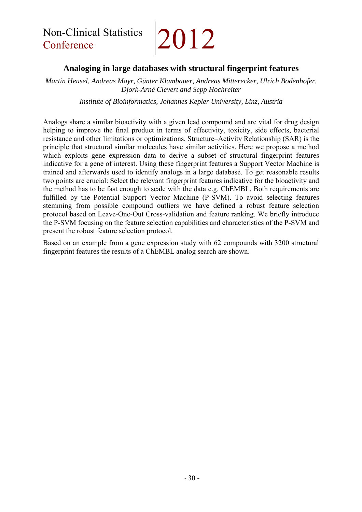#### **Analoging in large databases with structural fingerprint features**

*Martin Heusel, Andreas Mayr, Günter Klambauer, Andreas Mitterecker, Ulrich Bodenhofer, Djork-Arné Clevert and Sepp Hochreiter* 

*Institute of Bioinformatics, Johannes Kepler University, Linz, Austria* 

Analogs share a similar bioactivity with a given lead compound and are vital for drug design helping to improve the final product in terms of effectivity, toxicity, side effects, bacterial resistance and other limitations or optimizations. Structure–Activity Relationship (SAR) is the principle that structural similar molecules have similar activities. Here we propose a method which exploits gene expression data to derive a subset of structural fingerprint features indicative for a gene of interest. Using these fingerprint features a Support Vector Machine is trained and afterwards used to identify analogs in a large database. To get reasonable results two points are crucial: Select the relevant fingerprint features indicative for the bioactivity and the method has to be fast enough to scale with the data e.g. ChEMBL. Both requirements are fulfilled by the Potential Support Vector Machine (P-SVM). To avoid selecting features stemming from possible compound outliers we have defined a robust feature selection protocol based on Leave-One-Out Cross-validation and feature ranking. We briefly introduce the P-SVM focusing on the feature selection capabilities and characteristics of the P-SVM and present the robust feature selection protocol.

Based on an example from a gene expression study with 62 compounds with 3200 structural fingerprint features the results of a ChEMBL analog search are shown.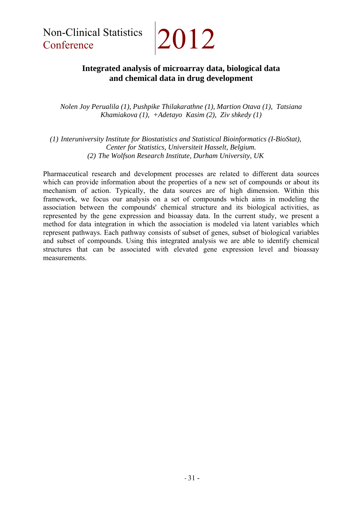## **Integrated analysis of microarray data, biological data and chemical data in drug development**

*Nolen Joy Perualila (1), Pushpike Thilakarathne (1), Martion Otava (1), Tatsiana Khamiakova (1), +Adetayo Kasim (2), Ziv shkedy (1)* 

*(1) Interuniversity Institute for Biostatistics and Statistical Bioinformatics (I-BioStat), Center for Statistics, Universiteit Hasselt, Belgium. (2) The Wolfson Research Institute, Durham University, UK* 

Pharmaceutical research and development processes are related to different data sources which can provide information about the properties of a new set of compounds or about its mechanism of action. Typically, the data sources are of high dimension. Within this framework, we focus our analysis on a set of compounds which aims in modeling the association between the compounds' chemical structure and its biological activities, as represented by the gene expression and bioassay data. In the current study, we present a method for data integration in which the association is modeled via latent variables which represent pathways. Each pathway consists of subset of genes, subset of biological variables and subset of compounds. Using this integrated analysis we are able to identify chemical structures that can be associated with elevated gene expression level and bioassay measurements.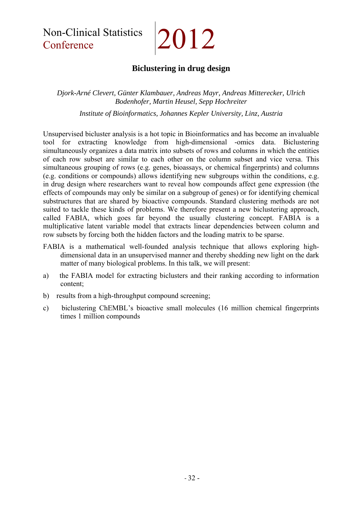Non-Clinical Statistics 2012

## **Biclustering in drug design**

*Djork-Arné Clevert, Günter Klambauer, Andreas Mayr, Andreas Mitterecker, Ulrich Bodenhofer, Martin Heusel, Sepp Hochreiter* 

*Institute of Bioinformatics, Johannes Kepler University, Linz, Austria* 

Unsupervised bicluster analysis is a hot topic in Bioinformatics and has become an invaluable tool for extracting knowledge from high-dimensional -omics data. Biclustering simultaneously organizes a data matrix into subsets of rows and columns in which the entities of each row subset are similar to each other on the column subset and vice versa. This simultaneous grouping of rows (e.g. genes, bioassays, or chemical fingerprints) and columns (e.g. conditions or compounds) allows identifying new subgroups within the conditions, e.g. in drug design where researchers want to reveal how compounds affect gene expression (the effects of compounds may only be similar on a subgroup of genes) or for identifying chemical substructures that are shared by bioactive compounds. Standard clustering methods are not suited to tackle these kinds of problems. We therefore present a new biclustering approach, called FABIA, which goes far beyond the usually clustering concept. FABIA is a multiplicative latent variable model that extracts linear dependencies between column and row subsets by forcing both the hidden factors and the loading matrix to be sparse.

- FABIA is a mathematical well-founded analysis technique that allows exploring highdimensional data in an unsupervised manner and thereby shedding new light on the dark matter of many biological problems. In this talk, we will present:
- a) the FABIA model for extracting biclusters and their ranking according to information content;
- b) results from a high-throughput compound screening;
- c) biclustering ChEMBL's bioactive small molecules (16 million chemical fingerprints times 1 million compounds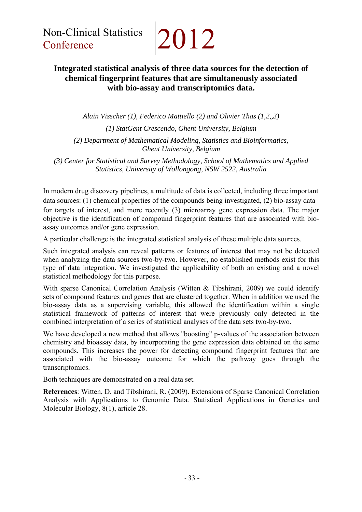## **Integrated statistical analysis of three data sources for the detection of chemical fingerprint features that are simultaneously associated with bio-assay and transcriptomics data.**

*Alain Visscher (1), Federico Mattiello (2) and Olivier Thas (1,2,,3) (1) StatGent Crescendo, Ghent University, Belgium (2) Department of Mathematical Modeling, Statistics and Bioinformatics, Ghent University, Belgium* 

*(3) Center for Statistical and Survey Methodology, School of Mathematics and Applied Statistics, University of Wollongong, NSW 2522, Australia* 

In modern drug discovery pipelines, a multitude of data is collected, including three important data sources: (1) chemical properties of the compounds being investigated, (2) bio-assay data for targets of interest, and more recently (3) microarray gene expression data. The major objective is the identification of compound fingerprint features that are associated with bioassay outcomes and/or gene expression.

A particular challenge is the integrated statistical analysis of these multiple data sources.

Such integrated analysis can reveal patterns or features of interest that may not be detected when analyzing the data sources two-by-two. However, no established methods exist for this type of data integration. We investigated the applicability of both an existing and a novel statistical methodology for this purpose.

With sparse Canonical Correlation Analysis (Witten & Tibshirani, 2009) we could identify sets of compound features and genes that are clustered together. When in addition we used the bio-assay data as a supervising variable, this allowed the identification within a single statistical framework of patterns of interest that were previously only detected in the combined interpretation of a series of statistical analyses of the data sets two-by-two.

We have developed a new method that allows "boosting" p-values of the association between chemistry and bioassay data, by incorporating the gene expression data obtained on the same compounds. This increases the power for detecting compound fingerprint features that are associated with the bio-assay outcome for which the pathway goes through the transcriptomics.

Both techniques are demonstrated on a real data set.

**References**: Witten, D. and Tibshirani, R. (2009). Extensions of Sparse Canonical Correlation Analysis with Applications to Genomic Data. Statistical Applications in Genetics and Molecular Biology, 8(1), article 28.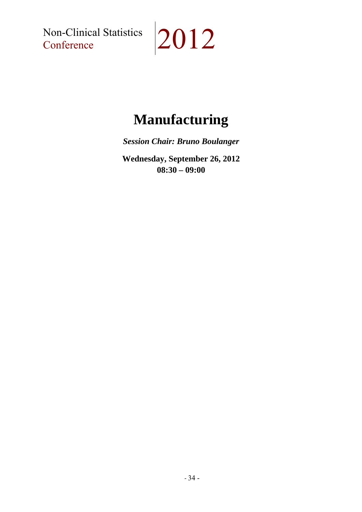Non-Clinical Statistics<br>Conference

# $|2012$

## **Manufacturing**

*Session Chair: Bruno Boulanger* 

**Wednesday, September 26, 2012 08:30 – 09:00**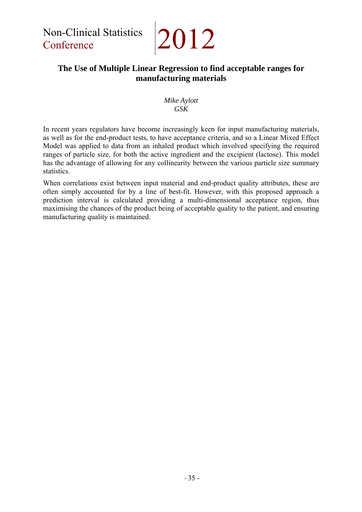## **The Use of Multiple Linear Regression to find acceptable ranges for manufacturing materials**

#### *Mike Aylott GSK*

In recent years regulators have become increasingly keen for input manufacturing materials, as well as for the end-product tests, to have acceptance criteria, and so a Linear Mixed Effect Model was applied to data from an inhaled product which involved specifying the required ranges of particle size, for both the active ingredient and the excipient (lactose). This model has the advantage of allowing for any collinearity between the various particle size summary statistics.

When correlations exist between input material and end-product quality attributes, these are often simply accounted for by a line of best-fit. However, with this proposed approach a prediction interval is calculated providing a multi-dimensional acceptance region, thus maximising the chances of the product being of acceptable quality to the patient, and ensuring manufacturing quality is maintained.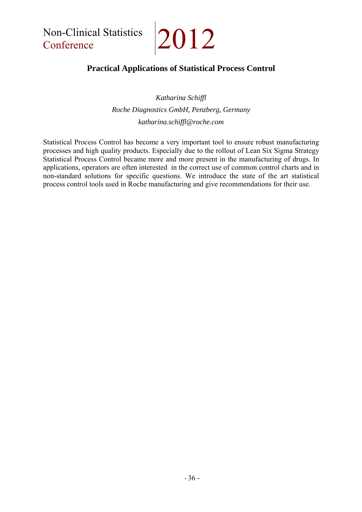Non-Clinical Statistics Non-Clinical Statistics 2012

## **Practical Applications of Statistical Process Control**

*Katharina Schiffl Roche Diagnostics GmbH, Penzberg, Germany katharina.schiffl@roche.com* 

Statistical Process Control has become a very important tool to ensure robust manufacturing processes and high quality products. Especially due to the rollout of Lean Six Sigma Strategy Statistical Process Control became more and more present in the manufacturing of drugs. In applications, operators are often interested in the correct use of common control charts and in non-standard solutions for specific questions. We introduce the state of the art statistical process control tools used in Roche manufacturing and give recommendations for their use.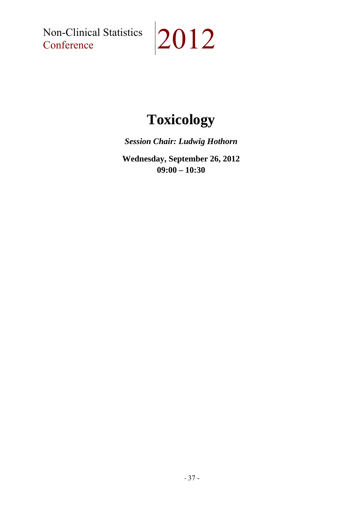Non-Clinical Statistics<br>Conference

# $|2012$

## **Toxicology**

*Session Chair: Ludwig Hothorn* 

**Wednesday, September 26, 2012 09:00 – 10:30**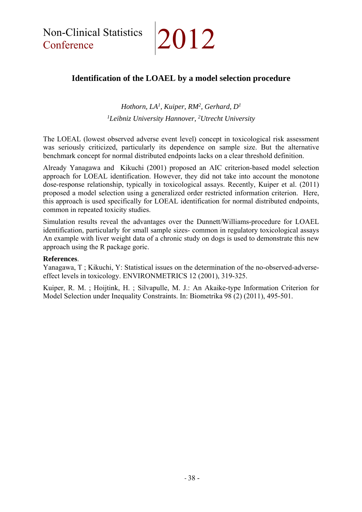## **Identification of the LOAEL by a model selection procedure**

*Hothorn, LA1, Kuiper, RM2, Gerhard, D1 1Leibniz University Hannover, 2Utrecht University* 

The LOEAL (lowest observed adverse event level) concept in toxicological risk assessment was seriously criticized, particularly its dependence on sample size. But the alternative benchmark concept for normal distributed endpoints lacks on a clear threshold definition.

Already Yanagawa and Kikuchi (2001) proposed an AIC criterion-based model selection approach for LOEAL identification. However, they did not take into account the monotone dose-response relationship, typically in toxicological assays. Recently, Kuiper et al. (2011) proposed a model selection using a generalized order restricted information criterion. Here, this approach is used specifically for LOEAL identification for normal distributed endpoints, common in repeated toxicity studies.

Simulation results reveal the advantages over the Dunnett/Williams-procedure for LOAEL identification, particularly for small sample sizes- common in regulatory toxicological assays An example with liver weight data of a chronic study on dogs is used to demonstrate this new approach using the R package goric.

#### **References**.

Yanagawa, T ; Kikuchi, Y: Statistical issues on the determination of the no-observed-adverseeffect levels in toxicology. ENVIRONMETRICS 12 (2001), 319-325.

Kuiper, R. M. ; Hoijtink, H. ; Silvapulle, M. J.: An Akaike-type Information Criterion for Model Selection under Inequality Constraints. In: Biometrika 98 (2) (2011), 495-501.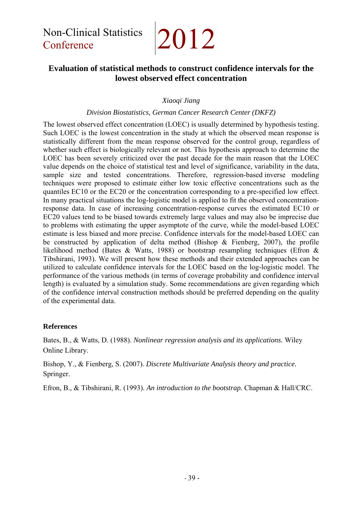Non-Clinical Statistics Non-Clinical Statistics 2012

## **Evaluation of statistical methods to construct confidence intervals for the lowest observed effect concentration**

#### *Xiaoqi Jiang*

#### *Division Biostatistics, German Cancer Research Center (DKFZ)*

The lowest observed effect concentration (LOEC) is usually determined by hypothesis testing. Such LOEC is the lowest concentration in the study at which the observed mean response is statistically different from the mean response observed for the control group, regardless of whether such effect is biologically relevant or not. This hypothesis approach to determine the LOEC has been severely criticized over the past decade for the main reason that the LOEC value depends on the choice of statistical test and level of significance, variability in the data, sample size and tested concentrations. Therefore, regression-based inverse modeling techniques were proposed to estimate either low toxic effective concentrations such as the quantiles EC10 or the EC20 or the concentration corresponding to a pre-specified low effect. In many practical situations the log-logistic model is applied to fit the observed concentrationresponse data. In case of increasing concentration-response curves the estimated EC10 or EC20 values tend to be biased towards extremely large values and may also be imprecise due to problems with estimating the upper asymptote of the curve, while the model-based LOEC estimate is less biased and more precise. Confidence intervals for the model-based LOEC can be constructed by application of delta method (Bishop & Fienberg, 2007), the profile likelihood method (Bates & Watts, 1988) or bootstrap resampling techniques (Efron & Tibshirani, 1993). We will present how these methods and their extended approaches can be utilized to calculate confidence intervals for the LOEC based on the log-logistic model. The performance of the various methods (in terms of coverage probability and confidence interval length) is evaluated by a simulation study. Some recommendations are given regarding which of the confidence interval construction methods should be preferred depending on the quality of the experimental data.

#### **References**

Bates, B., & Watts, D. (1988). *Nonlinear regression analysis and its applications.* Wiley Online Library.

Bishop, Y., & Fienberg, S. (2007). *Discrete Multivariate Analysis theory and practice.* Springer.

Efron, B., & Tibshirani, R. (1993). *An introduction to the bootstrap.* Chapman & Hall/CRC.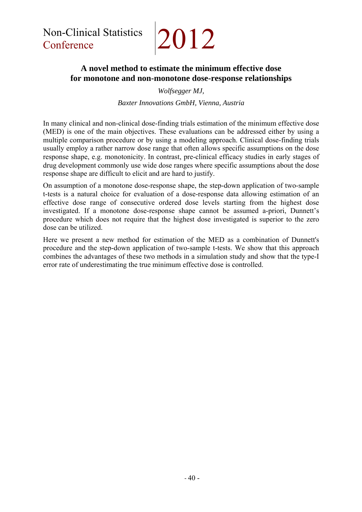## **A novel method to estimate the minimum effective dose for monotone and non-monotone dose-response relationships**

*Wolfsegger MJ,* 

*Baxter Innovations GmbH, Vienna, Austria* 

In many clinical and non-clinical dose-finding trials estimation of the minimum effective dose (MED) is one of the main objectives. These evaluations can be addressed either by using a multiple comparison procedure or by using a modeling approach. Clinical dose-finding trials usually employ a rather narrow dose range that often allows specific assumptions on the dose response shape, e.g. monotonicity. In contrast, pre-clinical efficacy studies in early stages of drug development commonly use wide dose ranges where specific assumptions about the dose response shape are difficult to elicit and are hard to justify.

On assumption of a monotone dose-response shape, the step-down application of two-sample t-tests is a natural choice for evaluation of a dose-response data allowing estimation of an effective dose range of consecutive ordered dose levels starting from the highest dose investigated. If a monotone dose-response shape cannot be assumed a-priori, Dunnett's procedure which does not require that the highest dose investigated is superior to the zero dose can be utilized.

Here we present a new method for estimation of the MED as a combination of Dunnett's procedure and the step-down application of two-sample t-tests. We show that this approach combines the advantages of these two methods in a simulation study and show that the type-I error rate of underestimating the true minimum effective dose is controlled.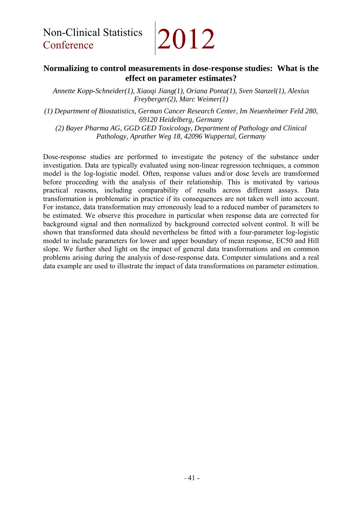### **Normalizing to control measurements in dose-response studies: What is the effect on parameter estimates?**

*Annette Kopp-Schneider(1), Xiaoqi Jiang(1), Oriana Ponta(1), Sven Stanzel(1), Alexius Freyberger(2), Marc Weimer(1)* 

*(1) Department of Biostatistics, German Cancer Research Center, Im Neuenheimer Feld 280, 69120 Heidelberg, Germany* 

*(2) Bayer Pharma AG, GGD GED Toxicology, Department of Pathology and Clinical Pathology, Aprather Weg 18, 42096 Wuppertal, Germany* 

Dose-response studies are performed to investigate the potency of the substance under investigation. Data are typically evaluated using non-linear regression techniques, a common model is the log-logistic model. Often, response values and/or dose levels are transformed before proceeding with the analysis of their relationship. This is motivated by various practical reasons, including comparability of results across different assays. Data transformation is problematic in practice if its consequences are not taken well into account. For instance, data transformation may erroneously lead to a reduced number of parameters to be estimated. We observe this procedure in particular when response data are corrected for background signal and then normalized by background corrected solvent control. It will be shown that transformed data should nevertheless be fitted with a four-parameter log-logistic model to include parameters for lower and upper boundary of mean response, EC50 and Hill slope. We further shed light on the impact of general data transformations and on common problems arising during the analysis of dose-response data. Computer simulations and a real data example are used to illustrate the impact of data transformations on parameter estimation.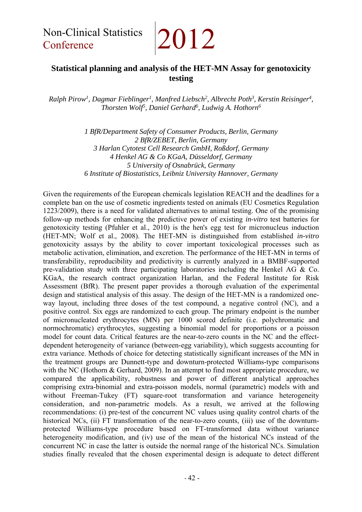## **Statistical planning and analysis of the HET-MN Assay for genotoxicity testing**

*Ralph Pirow1 , Dagmar Fieblinger1 , Manfred Liebsch2 , Albrecht Poth3 , Kerstin Reisinger4 , Thorsten Wolf5 , Daniel Gerhard6 , Ludwig A. Hothorn6*

> *1 BfR/Department Safety of Consumer Products, Berlin, Germany 2 BfR/ZEBET, Berlin, Germany 3 Harlan Cytotest Cell Research GmbH, Roßdorf, Germany 4 Henkel AG & Co KGaA, Düsseldorf, Germany 5 University of Osnabrück, Germany 6 Institute of Biostatistics, Leibniz University Hannover, Germany*

Given the requirements of the European chemicals legislation REACH and the deadlines for a complete ban on the use of cosmetic ingredients tested on animals (EU Cosmetics Regulation 1223/2009), there is a need for validated alternatives to animal testing. One of the promising follow-up methods for enhancing the predictive power of existing *in-vitro* test batteries for genotoxicity testing (Pfuhler et al., 2010) is the hen's egg test for micronucleus induction (HET-MN; Wolf et al., 2008). The HET-MN is distinguished from established *in-vitro* genotoxicity assays by the ability to cover important toxicological processes such as metabolic activation, elimination, and excretion. The performance of the HET-MN in terms of transferability, reproducibility and predictivity is currently analyzed in a BMBF-supported pre-validation study with three participating laboratories including the Henkel AG & Co. KGaA, the research contract organization Harlan, and the Federal Institute for Risk Assessment (BfR). The present paper provides a thorough evaluation of the experimental design and statistical analysis of this assay. The design of the HET-MN is a randomized oneway layout, including three doses of the test compound, a negative control (NC), and a positive control. Six eggs are randomized to each group. The primary endpoint is the number of micronucleated erythrocytes (MN) per 1000 scored definite (i.e. polychromatic and normochromatic) erythrocytes, suggesting a binomial model for proportions or a poisson model for count data. Critical features are the near-to-zero counts in the NC and the effectdependent heterogeneity of variance (between-egg variability), which suggests accounting for extra variance. Methods of choice for detecting statistically significant increases of the MN in the treatment groups are Dunnett-type and downturn-protected Williams-type comparisons with the NC (Hothorn & Gerhard, 2009). In an attempt to find most appropriate procedure, we compared the applicability, robustness and power of different analytical approaches comprising extra-binomial and extra-poisson models, normal (parametric) models with and without Freeman-Tukey (FT) square-root transformation and variance heterogeneity consideration, and non-parametric models. As a result, we arrived at the following recommendations: (i) pre-test of the concurrent NC values using quality control charts of the historical NCs, (ii) FT transformation of the near-to-zero counts, (iii) use of the downturnprotected Williams-type procedure based on FT-transformed data without variance heterogeneity modification, and (iv) use of the mean of the historical NCs instead of the concurrent NC in case the latter is outside the normal range of the historical NCs. Simulation studies finally revealed that the chosen experimental design is adequate to detect different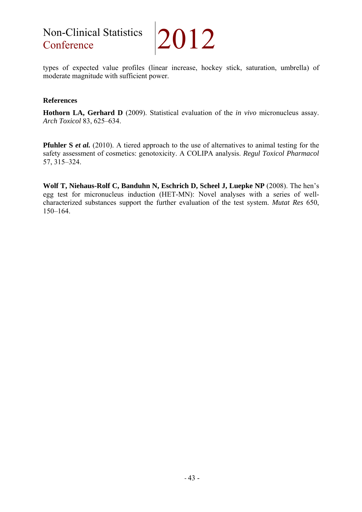## Non-Clinical Statistics

2012

types of expected value profiles (linear increase, hockey stick, saturation, umbrella) of moderate magnitude with sufficient power.

#### **References**

**Hothorn LA, Gerhard D** (2009). Statistical evaluation of the *in vivo* micronucleus assay. *Arch Toxicol* 83, 625–634.

**Pfuhler S** *et al.* (2010). A tiered approach to the use of alternatives to animal testing for the safety assessment of cosmetics: genotoxicity. A COLIPA analysis. *Regul Toxicol Pharmacol* 57, 315–324.

**Wolf T, Niehaus-Rolf C, Banduhn N, Eschrich D, Scheel J, Luepke NP** (2008). The hen's egg test for micronucleus induction (HET-MN): Novel analyses with a series of wellcharacterized substances support the further evaluation of the test system. *Mutat Res* 650, 150–164.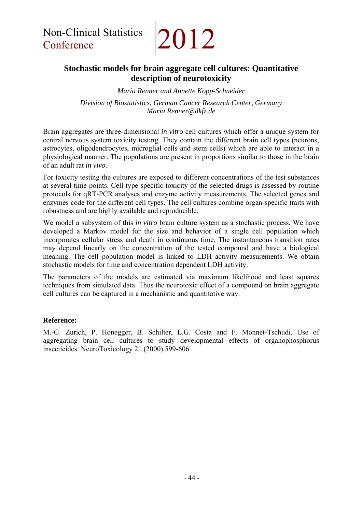## **Stochastic models for brain aggregate cell cultures: Quantitative description of neurotoxicity**

*Maria Renner and Annette Kopp-Schneider* 

*Division of Biostatistics, German Cancer Research Center, Germany Maria.Renner@dkfz.de* 

Brain aggregates are three-dimensional *in vitro* cell cultures which offer a unique system for central nervous system toxicity testing. They contain the different brain cell types (neurons, astrocytes, oligodendrocytes, microglial cells and stem cells) which are able to interact in a physiological manner. The populations are present in proportions similar to those in the brain of an adult rat *in vivo*.

For toxicity testing the cultures are exposed to different concentrations of the test substances at several time points. Cell type specific toxicity of the selected drugs is assessed by routine protocols for qRT-PCR analyses and enzyme activity measurements. The selected genes and enzymes code for the different cell types. The cell cultures combine organ-specific traits with robustness and are highly available and reproducible.

We model a subsystem of this *in vitro* brain culture system as a stochastic process. We have developed a Markov model for the size and behavior of a single cell population which incorporates cellular stress and death in continuous time. The instantaneous transition rates may depend linearly on the concentration of the tested compound and have a biological meaning. The cell population model is linked to LDH activity measurements. We obtain stochastic models for time and concentration dependent LDH activity.

The parameters of the models are estimated via maximum likelihood and least squares techniques from simulated data. Thus the neurotoxic effect of a compound on brain aggregate cell cultures can be captured in a mechanistic and quantitative way.

#### **Reference:**

M.-G. Zurich, P. Honegger, B. Schilter, L.G. Costa and F. Monnet-Tschudi. Use of aggregating brain cell cultures to study developmental effects of organophosphorus insecticides. NeuroToxicology 21 (2000) 599-606.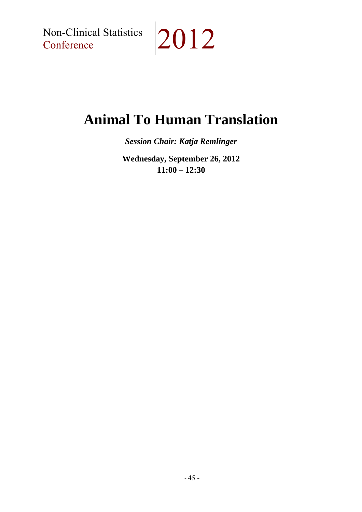Non-Clinical Statistics<br>Conference

# $|2012$

## **Animal To Human Translation**

*Session Chair: Katja Remlinger* 

**Wednesday, September 26, 2012 11:00 – 12:30**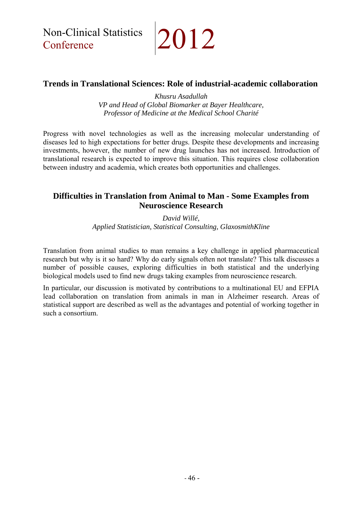Non-Clinical Statistics

## $|2012$

### **Trends in Translational Sciences: Role of industrial-academic collaboration**

*Khusru Asadullah VP and Head of Global Biomarker at Bayer Healthcare, Professor of Medicine at the Medical School Charité* 

Progress with novel technologies as well as the increasing molecular understanding of diseases led to high expectations for better drugs. Despite these developments and increasing investments, however, the number of new drug launches has not increased. Introduction of translational research is expected to improve this situation. This requires close collaboration between industry and academia, which creates both opportunities and challenges.

### **Difficulties in Translation from Animal to Man - Some Examples from Neuroscience Research**

*David Willé, Applied Statistician, Statistical Consulting, GlaxosmithKline* 

Translation from animal studies to man remains a key challenge in applied pharmaceutical research but why is it so hard? Why do early signals often not translate? This talk discusses a number of possible causes, exploring difficulties in both statistical and the underlying biological models used to find new drugs taking examples from neuroscience research.

In particular, our discussion is motivated by contributions to a multinational EU and EFPIA lead collaboration on translation from animals in man in Alzheimer research. Areas of statistical support are described as well as the advantages and potential of working together in such a consortium.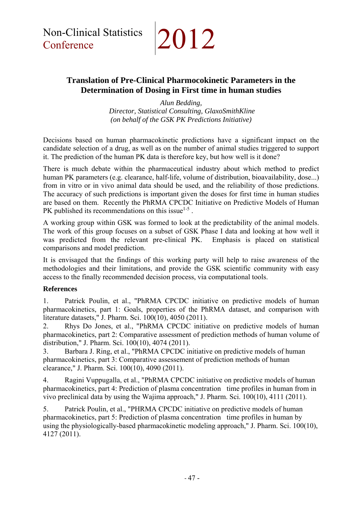### **Translation of Pre-Clinical Pharmocokinetic Parameters in the Determination of Dosing in First time in human studies**

*Alun Bedding, Director, Statistical Consulting, GlaxoSmithKline (on behalf of the GSK PK Predictions Initiative)* 

Decisions based on human pharmacokinetic predictions have a significant impact on the candidate selection of a drug, as well as on the number of animal studies triggered to support it. The prediction of the human PK data is therefore key, but how well is it done?

There is much debate within the pharmaceutical industry about which method to predict human PK parameters (e.g. clearance, half-life, volume of distribution, bioavailability, dose...) from in vitro or in vivo animal data should be used, and the reliability of those predictions. The accuracy of such predictions is important given the doses for first time in human studies are based on them. Recently the PhRMA CPCDC Initiative on Predictive Models of Human PK published its recommendations on this issue<sup> $1-5$ </sup>.

A working group within GSK was formed to look at the predictability of the animal models. The work of this group focuses on a subset of GSK Phase I data and looking at how well it was predicted from the relevant pre-clinical PK. Emphasis is placed on statistical comparisons and model prediction.

It is envisaged that the findings of this working party will help to raise awareness of the methodologies and their limitations, and provide the GSK scientific community with easy access to the finally recommended decision process, via computational tools.

#### **References**

1. Patrick Poulin, et al., "PhRMA CPCDC initiative on predictive models of human pharmacokinetics, part 1: Goals, properties of the PhRMA dataset, and comparison with literature datasets," J. Pharm. Sci. 100(10), 4050 (2011).

2. Rhys Do Jones, et al., "PhRMA CPCDC initiative on predictive models of human pharmacokinetics, part 2: Comparative assessment of prediction methods of human volume of distribution," J. Pharm. Sci. 100(10), 4074 (2011).

3. Barbara J. Ring, et al., "PhRMA CPCDC initiative on predictive models of human pharmacokinetics, part 3: Comparative assessement of prediction methods of human clearance," J. Pharm. Sci. 100(10), 4090 (2011).

4. Ragini Vuppugalla, et al., "PhRMA CPCDC initiative on predictive models of human pharmacokinetics, part 4: Prediction of plasma concentration time profiles in human from in vivo preclinical data by using the Wajima approach," J. Pharm. Sci. 100(10), 4111 (2011).

5. Patrick Poulin, et al., "PHRMA CPCDC initiative on predictive models of human pharmacokinetics, part 5: Prediction of plasma concentration time profiles in human by using the physiologically-based pharmacokinetic modeling approach," J. Pharm. Sci. 100(10), 4127 (2011).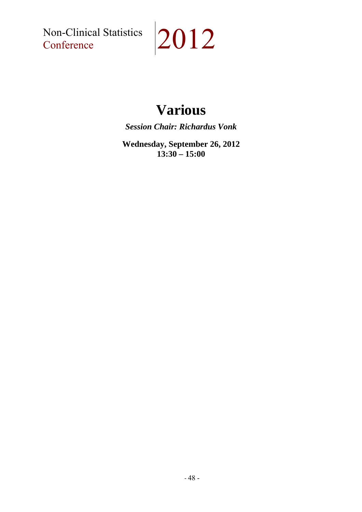Non-Clinical Statistics<br>Conference

# $|2012$

## **Various**

*Session Chair: Richardus Vonk* 

**Wednesday, September 26, 2012 13:30 – 15:00**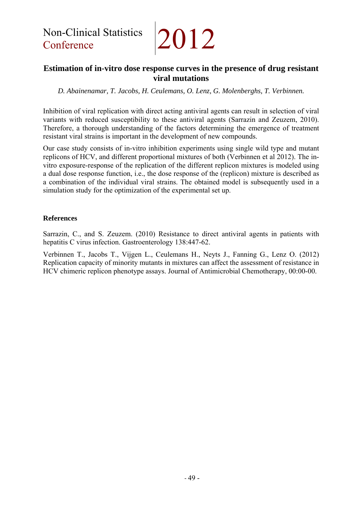### **Estimation of in-vitro dose response curves in the presence of drug resistant viral mutations**

*D. Abainenamar, T. Jacobs, H. Ceulemans, O. Lenz, G. Molenberghs, T. Verbinnen.* 

Inhibition of viral replication with direct acting antiviral agents can result in selection of viral variants with reduced susceptibility to these antiviral agents (Sarrazin and Zeuzem, 2010). Therefore, a thorough understanding of the factors determining the emergence of treatment resistant viral strains is important in the development of new compounds.

Our case study consists of in-vitro inhibition experiments using single wild type and mutant replicons of HCV, and different proportional mixtures of both (Verbinnen et al 2012). The invitro exposure-response of the replication of the different replicon mixtures is modeled using a dual dose response function, i.e., the dose response of the (replicon) mixture is described as a combination of the individual viral strains. The obtained model is subsequently used in a simulation study for the optimization of the experimental set up.

#### **References**

Sarrazin, C., and S. Zeuzem. (2010) Resistance to direct antiviral agents in patients with hepatitis C virus infection. Gastroenterology 138:447-62.

Verbinnen T., Jacobs T., Vijgen L., Ceulemans H., Neyts J., Fanning G., Lenz O. (2012) Replication capacity of minority mutants in mixtures can affect the assessment of resistance in HCV chimeric replicon phenotype assays. Journal of Antimicrobial Chemotherapy, 00:00-00.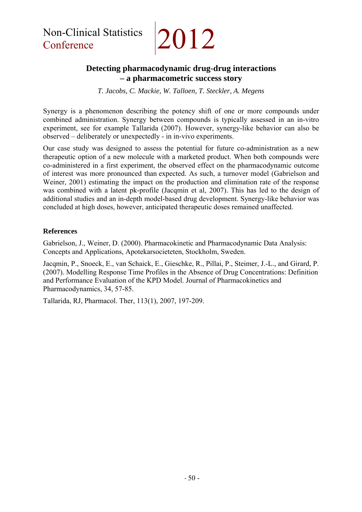## **Detecting pharmacodynamic drug-drug interactions – a pharmacometric success story**

*T. Jacobs, C. Mackie, W. Talloen, T. Steckler, A. Megens* 

Synergy is a phenomenon describing the potency shift of one or more compounds under combined administration. Synergy between compounds is typically assessed in an in-vitro experiment, see for example Tallarida (2007). However, synergy-like behavior can also be observed – deliberately or unexpectedly - in in-vivo experiments.

Our case study was designed to assess the potential for future co-administration as a new therapeutic option of a new molecule with a marketed product. When both compounds were co-administered in a first experiment, the observed effect on the pharmacodynamic outcome of interest was more pronounced than expected. As such, a turnover model (Gabrielson and Weiner, 2001) estimating the impact on the production and elimination rate of the response was combined with a latent pk-profile (Jacqmin et al, 2007). This has led to the design of additional studies and an in-depth model-based drug development. Synergy-like behavior was concluded at high doses, however, anticipated therapeutic doses remained unaffected.

#### **References**

Gabrielson, J., Weiner, D. (2000). Pharmacokinetic and Pharmacodynamic Data Analysis: Concepts and Applications, Apotekarsocieteten, Stockholm, Sweden.

Jacqmin, P., Snoeck, E., van Schaick, E., Gieschke, R., Pillai, P., Steimer, J.-L., and Girard, P. (2007). Modelling Response Time Profiles in the Absence of Drug Concentrations: Definition and Performance Evaluation of the KPD Model. Journal of Pharmacokinetics and Pharmacodynamics, 34, 57-85.

Tallarida, RJ, Pharmacol. Ther, 113(1), 2007, 197-209.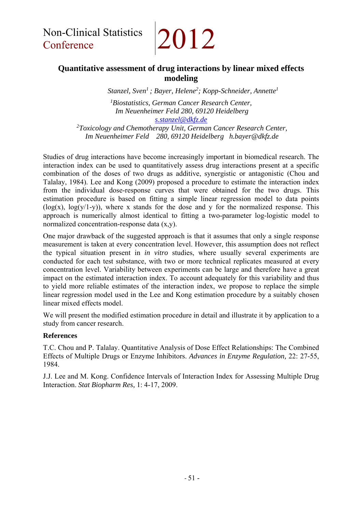# 2012

## **Quantitative assessment of drug interactions by linear mixed effects modeling**

*Stanzel, Sven1 ; Bayer, Helene2; Kopp-Schneider, Annette1* 

*1 Biostatistics, German Cancer Research Center, Im Neuenheimer Feld 280, 69120 Heidelberg s.stanzel@dkfz.de* 

*2 Toxicology and Chemotherapy Unit, German Cancer Research Center, Im Neuenheimer Feld 280, 69120 Heidelberg h.bayer@dkfz.de* 

Studies of drug interactions have become increasingly important in biomedical research. The interaction index can be used to quantitatively assess drug interactions present at a specific combination of the doses of two drugs as additive, synergistic or antagonistic (Chou and Talalay, 1984). Lee and Kong (2009) proposed a procedure to estimate the interaction index from the individual dose-response curves that were obtained for the two drugs. This estimation procedure is based on fitting a simple linear regression model to data points  $(log(x), log(y/1-y))$ , where x stands for the dose and y for the normalized response. This approach is numerically almost identical to fitting a two-parameter log-logistic model to normalized concentration-response data (x,y).

One major drawback of the suggested approach is that it assumes that only a single response measurement is taken at every concentration level. However, this assumption does not reflect the typical situation present in *in vitro* studies, where usually several experiments are conducted for each test substance, with two or more technical replicates measured at every concentration level. Variability between experiments can be large and therefore have a great impact on the estimated interaction index. To account adequately for this variability and thus to yield more reliable estimates of the interaction index, we propose to replace the simple linear regression model used in the Lee and Kong estimation procedure by a suitably chosen linear mixed effects model.

We will present the modified estimation procedure in detail and illustrate it by application to a study from cancer research.

#### **References**

T.C. Chou and P. Talalay. Quantitative Analysis of Dose Effect Relationships: The Combined Effects of Multiple Drugs or Enzyme Inhibitors. *Advances in Enzyme Regulation,* 22: 27-55, 1984.

J.J. Lee and M. Kong. Confidence Intervals of Interaction Index for Assessing Multiple Drug Interaction. *Stat Biopharm Res,* 1: 4-17, 2009.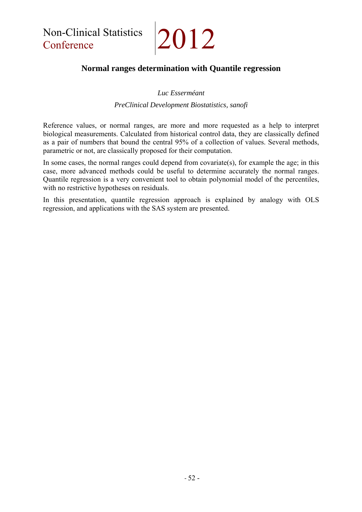## **Normal ranges determination with Quantile regression**

#### *Luc Esserméant*

#### *PreClinical Development Biostatistics, sanofi*

Reference values, or normal ranges, are more and more requested as a help to interpret biological measurements. Calculated from historical control data, they are classically defined as a pair of numbers that bound the central 95% of a collection of values. Several methods, parametric or not, are classically proposed for their computation.

In some cases, the normal ranges could depend from covariate(s), for example the age; in this case, more advanced methods could be useful to determine accurately the normal ranges. Quantile regression is a very convenient tool to obtain polynomial model of the percentiles, with no restrictive hypotheses on residuals.

In this presentation, quantile regression approach is explained by analogy with OLS regression, and applications with the SAS system are presented.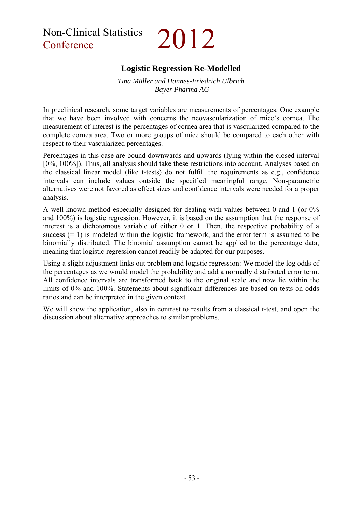Non-Clinical Statistics 2012

## **Logistic Regression Re-Modelled**

#### *Tina Müller and Hannes-Friedrich Ulbrich Bayer Pharma AG*

In preclinical research, some target variables are measurements of percentages. One example that we have been involved with concerns the neovascularization of mice's cornea. The measurement of interest is the percentages of cornea area that is vascularized compared to the complete cornea area. Two or more groups of mice should be compared to each other with respect to their vascularized percentages.

Percentages in this case are bound downwards and upwards (lying within the closed interval [0%, 100%]). Thus, all analysis should take these restrictions into account. Analyses based on the classical linear model (like t-tests) do not fulfill the requirements as e.g., confidence intervals can include values outside the specified meaningful range. Non-parametric alternatives were not favored as effect sizes and confidence intervals were needed for a proper analysis.

A well-known method especially designed for dealing with values between 0 and 1 (or 0% and 100%) is logistic regression. However, it is based on the assumption that the response of interest is a dichotomous variable of either 0 or 1. Then, the respective probability of a success  $(= 1)$  is modeled within the logistic framework, and the error term is assumed to be binomially distributed. The binomial assumption cannot be applied to the percentage data, meaning that logistic regression cannot readily be adapted for our purposes.

Using a slight adjustment links out problem and logistic regression: We model the log odds of the percentages as we would model the probability and add a normally distributed error term. All confidence intervals are transformed back to the original scale and now lie within the limits of 0% and 100%. Statements about significant differences are based on tests on odds ratios and can be interpreted in the given context.

We will show the application, also in contrast to results from a classical t-test, and open the discussion about alternative approaches to similar problems.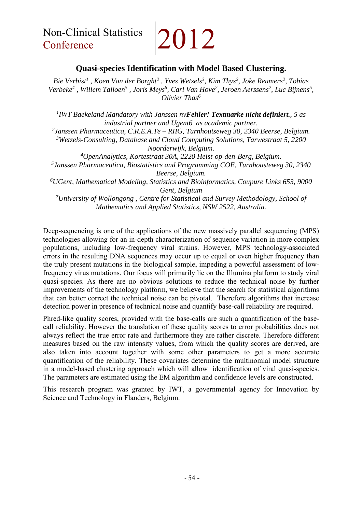Non-Clinical Statistics 2012

#### **Quasi-species Identification with Model Based Clustering.**

Bie Verbist<sup>1</sup>, Koen Van der Borght<sup>2</sup>, Yves Wetzels<sup>3</sup>, Kim Thys<sup>2</sup>, Joke Reumers<sup>2</sup>, Tobias Verbeke<sup>4</sup>, Willem Talloen<sup>5</sup>, Joris Meys<sup>6</sup>, Carl Van Hove<sup>2</sup>, Jeroen Aerssens<sup>2</sup>, Luc Bijnens<sup>5</sup>, *Olivier Thas6*

*1 IWT Baekeland Mandatory with Janssen nvFehler! Textmarke nicht definiert., 5 as industrial partner and Ugent6 as academic partner. 2Janssen Pharmaceutica, C.R.E.A.Te – RIIG, Turnhoutseweg 30, 2340 Beerse, Belgium. 3 Wetzels-Consulting, Database and Cloud Computing Solutions, Tarwestraat 5, 2200 Noorderwijk, Belgium. 4OpenAnalytics, Kortestraat 30A, 2220 Heist-op-den-Berg, Belgium. 5Janssen Pharmaceutica, Biostatistics and Programming COE, Turnhousteweg 30, 2340 Beerse, Belgium. 6 UGent, Mathematical Modeling, Statistics and Bioinformatics, Coupure Links 653, 9000 Gent, Belgium 7 University of Wollongong , Centre for Statistical and Survey Methodology, School of Mathematics and Applied Statistics, NSW 2522, Australia.* 

Deep-sequencing is one of the applications of the new massively parallel sequencing (MPS) technologies allowing for an in-depth characterization of sequence variation in more complex populations, including low-frequency viral strains. However, MPS technology-associated errors in the resulting DNA sequences may occur up to equal or even higher frequency than the truly present mutations in the biological sample, impeding a powerful assessment of lowfrequency virus mutations. Our focus will primarily lie on the Illumina platform to study viral quasi-species. As there are no obvious solutions to reduce the technical noise by further improvements of the technology platform, we believe that the search for statistical algorithms that can better correct the technical noise can be pivotal. Therefore algorithms that increase detection power in presence of technical noise and quantify base-call reliability are required.

Phred-like quality scores, provided with the base-calls are such a quantification of the basecall reliability. However the translation of these quality scores to error probabilities does not always reflect the true error rate and furthermore they are rather discrete. Therefore different measures based on the raw intensity values, from which the quality scores are derived, are also taken into account together with some other parameters to get a more accurate quantification of the reliability. These covariates determine the multinomial model structure in a model-based clustering approach which will allow identification of viral quasi-species. The parameters are estimated using the EM algorithm and confidence levels are constructed.

This research program was granted by IWT, a governmental agency for Innovation by Science and Technology in Flanders, Belgium.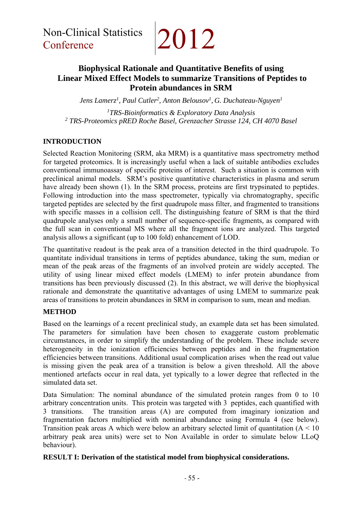## **Biophysical Rationale and Quantitative Benefits of using Linear Mixed Effect Models to summarize Transitions of Peptides to Protein abundances in SRM**

*Jens Lamerz1 , Paul Cutler2, Anton Belousov1, G. Duchateau-Nguyen1* 

*1 TRS-Bioinformatics & Exploratory Data Analysis 2 TRS-Proteomics pRED Roche Basel, Grenzacher Strasse 124, CH 4070 Basel*

#### **INTRODUCTION**

Selected Reaction Monitoring (SRM, aka MRM) is a quantitative mass spectrometry method for targeted proteomics. It is increasingly useful when a lack of suitable antibodies excludes conventional immunoassay of specific proteins of interest. Such a situation is common with preclinical animal models. SRM's positive quantitative characteristics in plasma and serum have already been shown (1). In the SRM process, proteins are first trypsinated to peptides. Following introduction into the mass spectrometer, typically via chromatography, specific targeted peptides are selected by the first quadrupole mass filter, and fragmented to transitions with specific masses in a collision cell. The distinguishing feature of SRM is that the third quadrupole analyses only a small number of sequence-specific fragments, as compared with the full scan in conventional MS where all the fragment ions are analyzed. This targeted analysis allows a significant (up to 100 fold) enhancement of LOD.

The quantitative readout is the peak area of a transition detected in the third quadrupole. To quantitate individual transitions in terms of peptides abundance, taking the sum, median or mean of the peak areas of the fragments of an involved protein are widely accepted. The utility of using linear mixed effect models (LMEM) to infer protein abundance from transitions has been previously discussed (2). In this abstract, we will derive the biophysical rationale and demonstrate the quantitative advantages of using LMEM to summarize peak areas of transitions to protein abundances in SRM in comparison to sum, mean and median.

#### **METHOD**

Based on the learnings of a recent preclinical study, an example data set has been simulated. The parameters for simulation have been chosen to exaggerate custom problematic circumstances, in order to simplify the understanding of the problem. These include severe heterogeneity in the ionization efficiencies between peptides and in the fragmentation efficiencies between transitions. Additional usual complication arises when the read out value is missing given the peak area of a transition is below a given threshold. All the above mentioned artefacts occur in real data, yet typically to a lower degree that reflected in the simulated data set.

Data Simulation: The nominal abundance of the simulated protein ranges from 0 to 10 arbitrary concentration units. This protein was targeted with 3 peptides, each quantified with 3 transitions. The transition areas (A) are computed from imaginary ionization and fragmentation factors multiplied with nominal abundance using Formula 4 (see below). Transition peak areas A which were below an arbitrary selected limit of quantitation  $(A < 10$ arbitrary peak area units) were set to Non Available in order to simulate below LLoQ behaviour).

#### **RESULT I: Derivation of the statistical model from biophysical considerations.**